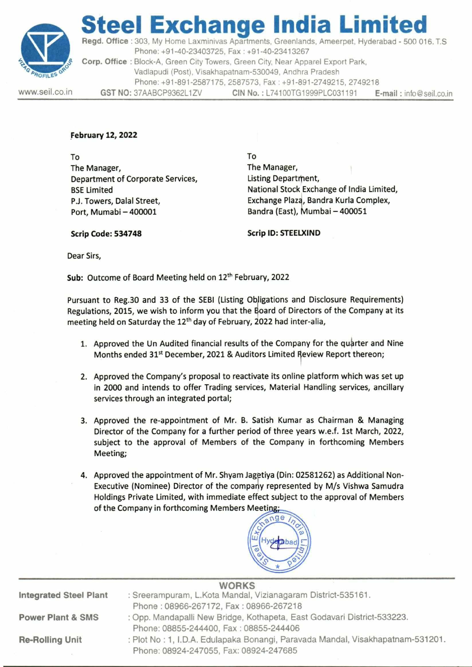

## teel Exchange India Limited

Regd. Office : 303, My Home Laxminivas Apartments, Greenlands, Ameerpet, Hyderabad - 500 016. T.S Steel Exchanner<br>
Regd. Office : 303, My Home Laxminivas Apphone: +91-40-23403725, Fa<br>
Corp. Office : Block-A, Green City Towers, (Vadlapudi (Post), Visakhapatu<br>
Phone: +91-891-2587175, 25<br>
WWW.seil.co.in GST NO: 37AABCP936 Phone: +91-40-23403725, Fax : +91-40-23413267 Corp. Office : Block-A, Green City Towers, Green City, Near Apparel Export Park, Vadlapudi (Post), Visakhapatnam-530049, Andhra Pradesh Phone: +91-891-2587175, 2587573, Fax : +91-891-2749215, 2749218 www.seil.co.in GST NO: 37AABCP9362L1ZV CIN No.: L74100TG1999PLC031191 E-mail: info@seil.co.in

- 1. Approved the Un Audited financial results of the Company for the quarter and Nine Months ended 31% December, 2021 & Auditors Limited Rewew Report thereon;
- 2. Approved the Company's proposal to reactivate its online platform which was set up in 2000 and intends to offer Trading services, Material Handling services, ancillary services through an integrated portal;
- 3. Approved the re-appointment of Mr. B. Satish Kumar as Chairman & Managing Director of the Company for a further period of three years w.e.f. 1st March, 2022, subject to the approval of Members of the Company in forthcoming Members Meeting;
- 4. Approved the appointment of Mr. Shyam Jagetiya (Din: 02581262) as Additional Non-Executive (Nominee) Director of the company represented by M/s Vishwa Samudra Holdings Private Limited, with immediate effect subject to the approval of Members of the Company in forthcoming Members Meeting;



|                                                               |                          |                                                                                                                                                                                                                         | <b>Steel Exchange India Limited</b><br>Regd. Office: 303, My Home Laxminivas Apartments, Greenlands, Ameerpet, Hyderabad - 500 016. T.S                                                                                                                                      |                         |  |  |  |
|---------------------------------------------------------------|--------------------------|-------------------------------------------------------------------------------------------------------------------------------------------------------------------------------------------------------------------------|------------------------------------------------------------------------------------------------------------------------------------------------------------------------------------------------------------------------------------------------------------------------------|-------------------------|--|--|--|
|                                                               |                          |                                                                                                                                                                                                                         | Phone: +91-40-23403725, Fax: +91-40-23413267<br>Corp. Office: Block-A, Green City Towers, Green City, Near Apparel Export Park,                                                                                                                                              |                         |  |  |  |
| <b>ENG PROFILES OR</b>                                        |                          |                                                                                                                                                                                                                         | Vadlapudi (Post), Visakhapatnam-530049, Andhra Pradesh<br>Phone: +91-891-2587175, 2587573, Fax: +91-891-2749215, 2749218                                                                                                                                                     |                         |  |  |  |
| www.seil.co.in                                                |                          |                                                                                                                                                                                                                         | GST NO: 37AABCP9362L1ZV CIN No.: L74100TG1999PLC031191                                                                                                                                                                                                                       | E-mail: info@seil.co.in |  |  |  |
|                                                               |                          |                                                                                                                                                                                                                         |                                                                                                                                                                                                                                                                              |                         |  |  |  |
|                                                               | <b>February 12, 2022</b> |                                                                                                                                                                                                                         |                                                                                                                                                                                                                                                                              |                         |  |  |  |
| To<br>The Manager,                                            |                          |                                                                                                                                                                                                                         | To<br>The Manager,                                                                                                                                                                                                                                                           |                         |  |  |  |
|                                                               |                          | Department of Corporate Services,                                                                                                                                                                                       | Listing Department,                                                                                                                                                                                                                                                          |                         |  |  |  |
|                                                               | <b>BSE Limited</b>       | P.J. Towers, Dalal Street,                                                                                                                                                                                              | National Stock Exchange of India Limited,<br>Exchange Plaza, Bandra Kurla Complex,                                                                                                                                                                                           |                         |  |  |  |
|                                                               |                          | Port, Mumabi - 400001                                                                                                                                                                                                   | Bandra (East), Mumbai - 400051                                                                                                                                                                                                                                               |                         |  |  |  |
|                                                               | Scrip Code: 534748       |                                                                                                                                                                                                                         | <b>Scrip ID: STEELXIND</b>                                                                                                                                                                                                                                                   |                         |  |  |  |
|                                                               | Dear Sirs,               |                                                                                                                                                                                                                         |                                                                                                                                                                                                                                                                              |                         |  |  |  |
|                                                               |                          | Sub: Outcome of Board Meeting held on 12 <sup>th</sup> February, 2022                                                                                                                                                   |                                                                                                                                                                                                                                                                              |                         |  |  |  |
|                                                               |                          |                                                                                                                                                                                                                         | Pursuant to Reg.30 and 33 of the SEBI (Listing Obligations and Disclosure Requirements)<br>Regulations, 2015, we wish to inform you that the Board of Directors of the Company at its<br>meeting held on Saturday the 12 <sup>th</sup> day of February, 2022 had inter-alia, |                         |  |  |  |
|                                                               |                          |                                                                                                                                                                                                                         | 1. Approved the Un Audited financial results of the Company for the quarter and Nine<br>Months ended 31 <sup>st</sup> December, 2021 & Auditors Limited Review Report thereon;                                                                                               |                         |  |  |  |
|                                                               |                          | 2. Approved the Company's proposal to reactivate its online platform which was set up<br>in 2000 and intends to offer Trading services, Material Handling services, ancillary<br>services through an integrated portal; |                                                                                                                                                                                                                                                                              |                         |  |  |  |
|                                                               |                          |                                                                                                                                                                                                                         | 3. Approved the re-appointment of Mr. B. Satish Kumar as Chairman & Managing<br>Director of the Company for a further period of three years w.e.f. 1st March, 2022,                                                                                                          |                         |  |  |  |
|                                                               | Meeting;                 |                                                                                                                                                                                                                         | subject to the approval of Members of the Company in forthcoming Members                                                                                                                                                                                                     |                         |  |  |  |
|                                                               |                          | of the Company in forthcoming Members Meeting;                                                                                                                                                                          | 4. Approved the appointment of Mr. Shyam Jagetiya (Din: 02581262) as Additional Non-<br>Executive (Nominee) Director of the company represented by M/s Vishwa Samudra<br>Holdings Private Limited, with immediate effect subject to the approval of Members<br>ange          |                         |  |  |  |
|                                                               |                          |                                                                                                                                                                                                                         |                                                                                                                                                                                                                                                                              |                         |  |  |  |
|                                                               |                          |                                                                                                                                                                                                                         | <b>WORKS</b><br>: Sreerampuram, L.Kota Mandal, Vizianagaram District-535161.                                                                                                                                                                                                 |                         |  |  |  |
| <b>Integrated Steel Plant</b><br><b>Power Plant &amp; SMS</b> |                          |                                                                                                                                                                                                                         | Phone: 08966-267172, Fax: 08966-267218<br>: Opp. Mandapalli New Bridge, Kothapeta, East Godavari District-533223.                                                                                                                                                            |                         |  |  |  |